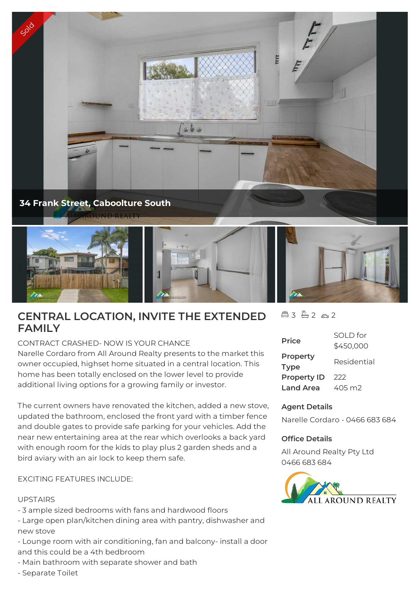



# **CENTRAL LOCATION, INVITE THE EXTENDED FAMILY**

CONTRACT CRASHED- NOW IS YOUR CHANCE

Narelle Cordaro from All Around Realty presents to the market this owner occupied, highset home situated in a central location. This home has been totally enclosed on the lower level to provide additional living options for a growing family or investor.

The current owners have renovated the kitchen, added a new stove, updated the bathroom, enclosed the front yard with a timber fence and double gates to provide safe parking for your vehicles. Add the near new entertaining area at the rear which overlooks a back yard with enough room for the kids to play plus 2 garden sheds and a bird aviary with an air lock to keep them safe.

# EXCITING FEATURES INCLUDE:

## UPSTAIRS

- 3 ample sized bedrooms with fans and hardwood floors
- Large open plan/kitchen dining area with pantry, dishwasher and new stove
- Lounge room with air conditioning, fan and balcony- install a door and this could be a 4th bedbroom
- Main bathroom with separate shower and bath
- Separate Toilet

#### $A3 \oplus 2 \in 2$

| <b>Price</b>                      | SOI D for<br>\$450,000 |
|-----------------------------------|------------------------|
| Property                          | Residential            |
| <b>Type</b><br><b>Property ID</b> | 222                    |
| <b>Land Area</b>                  | 405 m2                 |

#### **Agent Details**

Narelle Cordaro - 0466 683 684

#### **Office Details**

All Around Realty Pty Ltd 0466 683 684